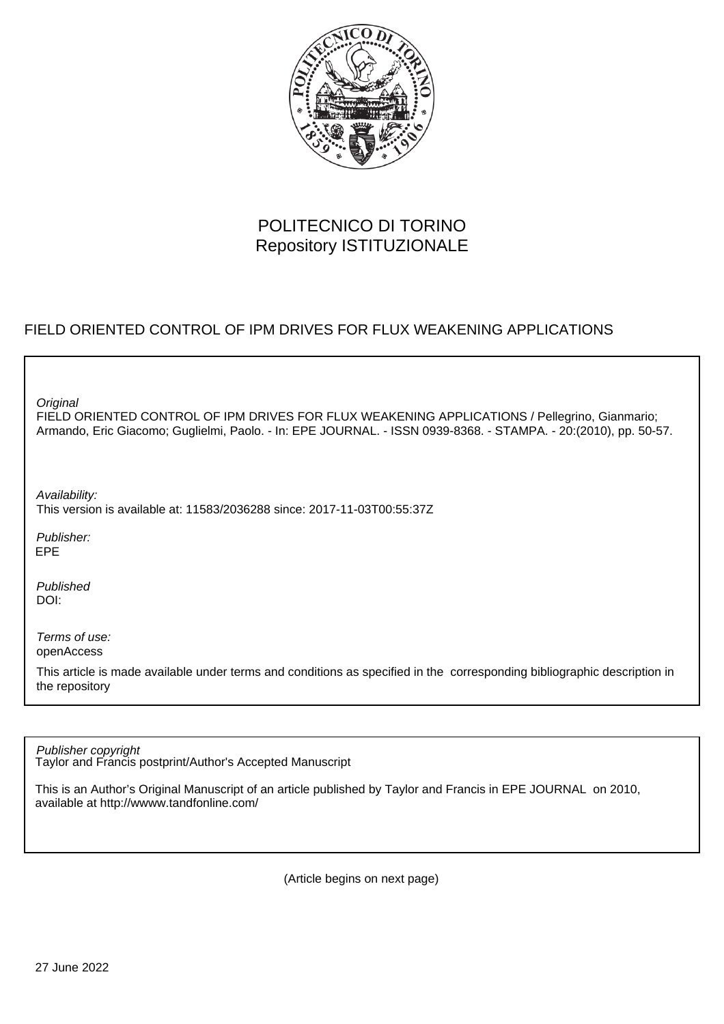

## POLITECNICO DI TORINO Repository ISTITUZIONALE

### FIELD ORIENTED CONTROL OF IPM DRIVES FOR FLUX WEAKENING APPLICATIONS

**Original** 

FIELD ORIENTED CONTROL OF IPM DRIVES FOR FLUX WEAKENING APPLICATIONS / Pellegrino, Gianmario; Armando, Eric Giacomo; Guglielmi, Paolo. - In: EPE JOURNAL. - ISSN 0939-8368. - STAMPA. - 20:(2010), pp. 50-57.

Availability: This version is available at: 11583/2036288 since: 2017-11-03T00:55:37Z

Publisher: EPE

Published DOI:

Terms of use: openAccess

This article is made available under terms and conditions as specified in the corresponding bibliographic description in the repository

Publisher copyright

Taylor and Francis postprint/Author's Accepted Manuscript

This is an Author's Original Manuscript of an article published by Taylor and Francis in EPE JOURNAL on 2010, available at http://wwww.tandfonline.com/

(Article begins on next page)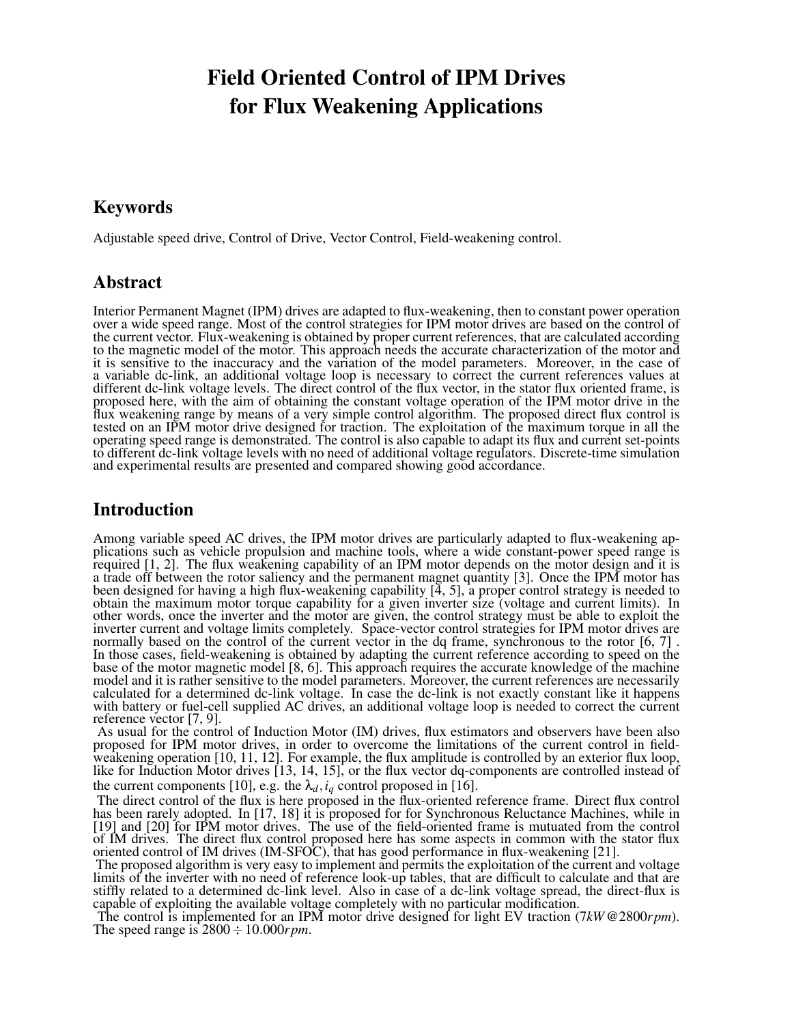# Field Oriented Control of IPM Drives for Flux Weakening Applications

### Keywords

Adjustable speed drive, Control of Drive, Vector Control, Field-weakening control.

### Abstract

Interior Permanent Magnet (IPM) drives are adapted to flux-weakening, then to constant power operation over a wide speed range. Most of the control strategies for IPM motor drives are based on the control of the current vector. Flux-weakening is obtained by proper current references, that are calculated according to the magnetic model of the motor. This approach needs the accurate characterization of the motor and it is sensitive to the inaccuracy and the variation of the model parameters. Moreover, in the case of a variable dc-link, an additional voltage loop is necessary to correct the current references values at different dc-link voltage levels. The direct control of the flux vector, in the stator flux oriented frame, is proposed here, with the aim of obtaining the constant voltage operation of the IPM motor drive in the flux weakening range by means of a very simple control algorithm. The proposed direct flux control is tested on an IPM motor drive designed for traction. The exploitation of the maximum torque in all the operating speed range is demonstrated. The control is also capable to adapt its flux and current set-points to different dc-link voltage levels with no need of additional voltage regulators. Discrete-time simulation and experimental results are presented and compared showing good accordance.

### Introduction

Among variable speed AC drives, the IPM motor drives are particularly adapted to flux-weakening applications such as vehicle propulsion and machine tools, where a wide constant-power speed range is required [1, 2]. The flux weakening capability of an IPM motor depends on the motor design and it is a trade off between the rotor saliency and the permanent magnet quantity [3]. Once the IPM motor has been designed for having a high flux-weakening capability [4, 5], a proper control strategy is needed to obtain the maximum motor torque capability for a given inverter size (voltage and current limits). In other words, once the inverter and the motor are given, the control strategy must be able to exploit the inverter current and voltage limits completely. Space-vector control strategies for IPM motor drives are normally based on the control of the current vector in the dq frame, synchronous to the rotor [6, 7]. In those cases, field-weakening is obtained by adapting the current reference according to speed on the base of the motor magnetic model [8, 6]. This approach requires the accurate knowledge of the machine model and it is rather sensitive to the model parameters. Moreover, the current references are necessarily calculated for a determined dc-link voltage. In case the dc-link is not exactly constant like it happens with battery or fuel-cell supplied AC drives, an additional voltage loop is needed to correct the current reference vector [7, 9].

As usual for the control of Induction Motor (IM) drives, flux estimators and observers have been also proposed for IPM motor drives, in order to overcome the limitations of the current control in fieldweakening operation [10, 11, 12]. For example, the flux amplitude is controlled by an exterior flux loop, like for Induction Motor drives [13, 14, 15], or the flux vector dq-components are controlled instead of the current components [10], e.g. the  $\lambda_d$ ,  $i_q$  control proposed in [16].

The direct control of the flux is here proposed in the flux-oriented reference frame. Direct flux control has been rarely adopted. In [17, 18] it is proposed for for Synchronous Reluctance Machines, while in [19] and [20] for IPM motor drives. The use of the field-oriented frame is mutuated from the control of IM drives. The direct flux control proposed here has some aspects in common with the stator flux oriented control of IM drives (IM-SFOC), that has good performance in flux-weakening [21].

The proposed algorithm is very easy to implement and permits the exploitation of the current and voltage limits of the inverter with no need of reference look-up tables, that are difficult to calculate and that are stiffly related to a determined dc-link level. Also in case of a dc-link voltage spread, the direct-flux is capable of exploiting the available voltage completely with no particular modification.

The control is implemented for an IPM motor drive designed for light EV traction (7*kW*@2800*rpm*). The speed range is  $2800 \div 10.000$ *rpm*.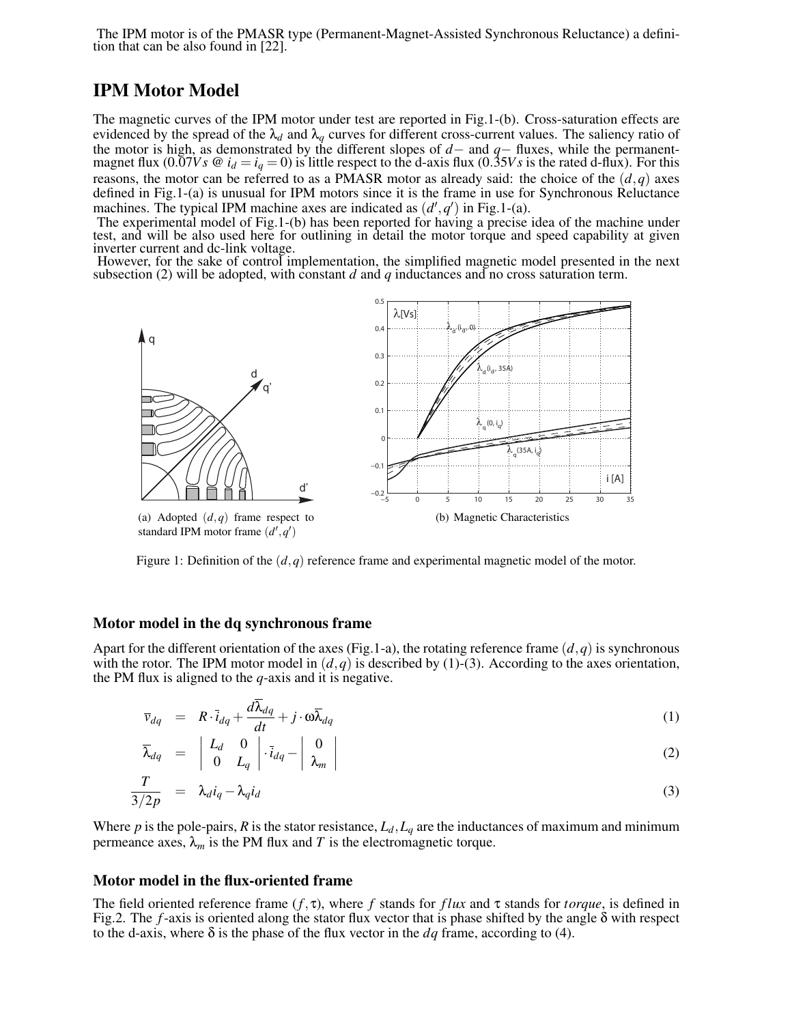The IPM motor is of the PMASR type (Permanent-Magnet-Assisted Synchronous Reluctance) a definition that can be also found in [22].

### IPM Motor Model

The magnetic curves of the IPM motor under test are reported in Fig.1-(b). Cross-saturation effects are evidenced by the spread of the  $\lambda_d$  and  $\lambda_q$  curves for different cross-current values. The saliency ratio of the motor is high, as demonstrated by the different slopes of *d*− and *q*− fluxes, while the permanentmagnet flux (0.07*Vs*  $\omega$  *i<sub>d</sub>* = *i<sub>q</sub>* = 0) is little respect to the d-axis flux (0.35*Vs* is the rated d-flux). For this reasons, the motor can be referred to as a PMASR motor as already said: the choice of the  $(d, q)$  axes defined in Fig.1-(a) is unusual for IPM motors since it is the frame in use for Synchronous Reluctance machines. The typical IPM machine axes are indicated as  $(d', q')$  in Fig.1-(a).

The experimental model of Fig.1-(b) has been reported for having a precise idea of the machine under test, and will be also used here for outlining in detail the motor torque and speed capability at given inverter current and dc-link voltage.

However, for the sake of control implementation, the simplified magnetic model presented in the next subsection (2) will be adopted, with constant *d* and *q* inductances and no cross saturation term.



Figure 1: Definition of the  $(d,q)$  reference frame and experimental magnetic model of the motor.

#### Motor model in the dq synchronous frame

Apart for the different orientation of the axes (Fig.1-a), the rotating reference frame  $(d, q)$  is synchronous with the rotor. The IPM motor model in  $(d, q)$  is described by (1)-(3). According to the axes orientation, the PM flux is aligned to the *q*-axis and it is negative.

$$
\overline{v}_{dq} = R \cdot \overline{i}_{dq} + \frac{d\lambda_{dq}}{dt} + j \cdot \omega \overline{\lambda}_{dq}
$$
\n(1)

$$
\overline{\lambda}_{dq} = \begin{vmatrix} L_d & 0 \\ 0 & L_q \end{vmatrix} \cdot \overline{i}_{dq} - \begin{vmatrix} 0 \\ \lambda_m \end{vmatrix}
$$
 (2)

$$
\frac{T}{3/2p} = \lambda_d i_q - \lambda_q i_d \tag{3}
$$

Where  $p$  is the pole-pairs,  $R$  is the stator resistance,  $L_d$ ,  $L_q$  are the inductances of maximum and minimum permeance axes,  $λ<sub>m</sub>$  is the PM flux and *T* is the electromagnetic torque.

#### Motor model in the flux-oriented frame

The field oriented reference frame  $(f, \tau)$ , where f stands for flux and  $\tau$  stands for *torque*, is defined in Fig.2. The *f*-axis is oriented along the stator flux vector that is phase shifted by the angle δ with respect to the d-axis, where  $\delta$  is the phase of the flux vector in the  $dq$  frame, according to (4).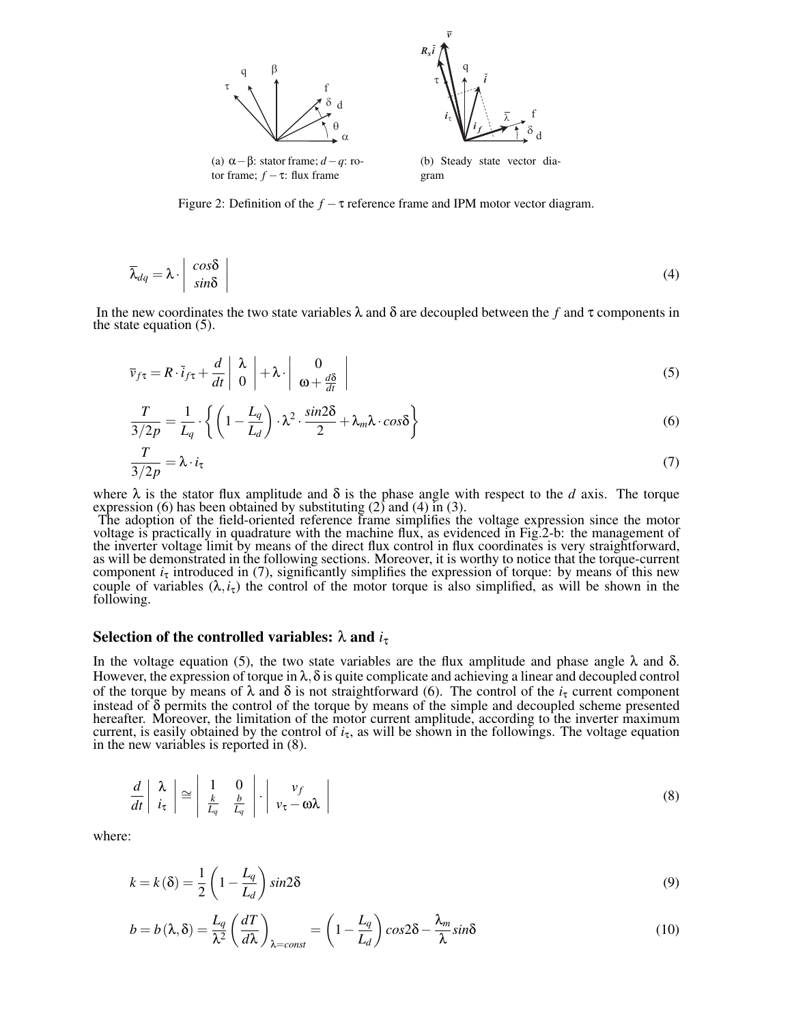

Figure 2: Definition of the  $f - \tau$  reference frame and IPM motor vector diagram.

$$
\overline{\lambda}_{dq} = \lambda \cdot \begin{vmatrix} cos\delta \\ sin\delta \end{vmatrix}
$$
 (4)

In the new coordinates the two state variables  $\lambda$  and  $\delta$  are decoupled between the *f* and  $\tau$  components in the state equation (5).

$$
\overline{v}_{f\tau} = R \cdot \overline{i}_{f\tau} + \frac{d}{dt} \begin{vmatrix} \lambda \\ 0 \end{vmatrix} + \lambda \cdot \begin{vmatrix} 0 \\ \omega + \frac{d\delta}{dt} \end{vmatrix}
$$
 (5)

$$
\frac{T}{3/2p} = \frac{1}{L_q} \cdot \left\{ \left( 1 - \frac{L_q}{L_d} \right) \cdot \lambda^2 \cdot \frac{\sin 2\delta}{2} + \lambda_m \lambda \cdot \cos \delta \right\} \tag{6}
$$

$$
\frac{T}{3/2p} = \lambda \cdot i_{\tau} \tag{7}
$$

where  $\lambda$  is the stator flux amplitude and  $\delta$  is the phase angle with respect to the *d* axis. The torque expression (6) has been obtained by substituting  $(2)$  and  $(4)$  in  $(3)$ .

The adoption of the field-oriented reference frame simplifies the voltage expression since the motor voltage is practically in quadrature with the machine flux, as evidenced in Fig.2-b: the management of the inverter voltage limit by means of the direct flux control in flux coordinates is very straightforward, as will be demonstrated in the following sections. Moreover, it is worthy to notice that the torque-current component  $i<sub>\tau</sub>$  introduced in (7), significantly simplifies the expression of torque: by means of this new couple of variables  $(\lambda, i_{\tau})$  the control of the motor torque is also simplified, as will be shown in the following.

#### Selection of the controlled variables:  $\lambda$  and  $i_{\tau}$

In the voltage equation (5), the two state variables are the flux amplitude and phase angle  $\lambda$  and  $\delta$ . However, the expression of torque in  $\lambda$ ,  $\delta$  is quite complicate and achieving a linear and decoupled control of the torque by means of  $\lambda$  and  $\delta$  is not straightforward (6). The control of the  $i<sub>\tau</sub>$  current component instead of  $\delta$  permits the control of the torque by means of the simple and decoupled scheme presented hereafter. Moreover, the limitation of the motor current amplitude, according to the inverter maximum current, is easily obtained by the control of  $i<sub>\tau</sub>$ , as will be shown in the followings. The voltage equation in the new variables is reported in (8).

$$
\frac{d}{dt}\left|\begin{array}{c}\lambda\\i_{\tau}\end{array}\right|\cong\left|\begin{array}{cc}1&0\\ \frac{k}{L_{q}}&\frac{b}{L_{q}}\end{array}\right|\cdot\left|\begin{array}{c}v_{f}\\v_{\tau}-\omega\lambda\end{array}\right|\tag{8}
$$

where:

$$
k = k(\delta) = \frac{1}{2} \left( 1 - \frac{L_q}{L_d} \right) \sin 2\delta \tag{9}
$$

$$
b = b(\lambda, \delta) = \frac{L_q}{\lambda^2} \left(\frac{dT}{d\lambda}\right)_{\lambda = const} = \left(1 - \frac{L_q}{L_d}\right) \cos 2\delta - \frac{\lambda_m}{\lambda} \sin \delta \tag{10}
$$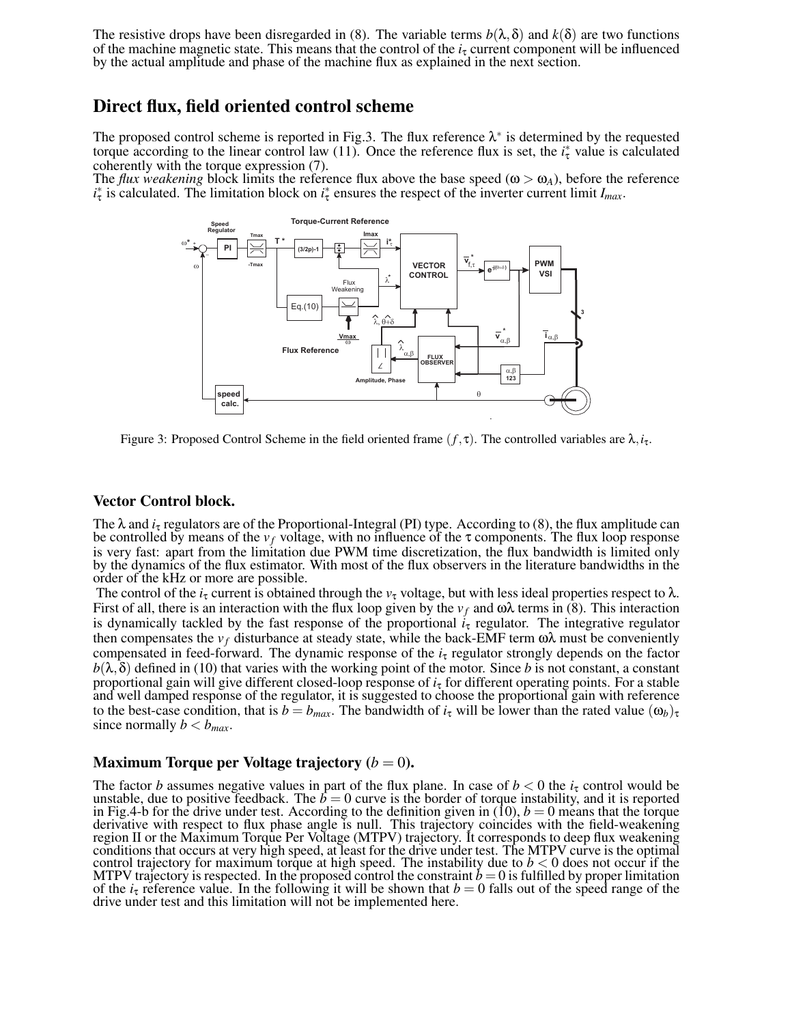The resistive drops have been disregarded in (8). The variable terms  $b(\lambda, \delta)$  and  $k(\delta)$  are two functions of the machine magnetic state. This means that the control of the  $i<sub>\tau</sub>$  current component will be influenced by the actual amplitude and phase of the machine flux as explained in the next section.

### Direct flux, field oriented control scheme

The proposed control scheme is reported in Fig.3. The flux reference  $\lambda^*$  is determined by the requested torque according to the linear control law (11). Once the reference flux is set, the  $i_{\tau}^{*}$  value is calculated coherently with the torque expression (7).

The *flux weakening* block limits the reference flux above the base speed ( $\omega > \omega_A$ ), before the reference  $i^*_{\tau}$  is calculated. The limitation block on  $i^*_{\tau}$  ensures the respect of the inverter current limit *I<sub>max</sub>*.



Figure 3: Proposed Control Scheme in the field oriented frame  $(f, τ)$ . The controlled variables are  $λ, iτ$ .

#### Vector Control block.

The  $\lambda$  and  $i_{\tau}$  regulators are of the Proportional-Integral (PI) type. According to (8), the flux amplitude can be controlled by means of the  $v_f$  voltage, with no influence of the  $\tau$  components. The flux loop response is very fast: apart from the limitation due PWM time discretization, the flux bandwidth is limited only by the dynamics of the flux estimator. With most of the flux observers in the literature bandwidths in the order of the kHz or more are possible.

The control of the  $i<sub>\tau</sub>$  current is obtained through the  $v<sub>\tau</sub>$  voltage, but with less ideal properties respect to  $\lambda$ . First of all, there is an interaction with the flux loop given by the  $v_f$  and  $\omega\lambda$  terms in (8). This interaction is dynamically tackled by the fast response of the proportional  $i<sub>r</sub>$  regulator. The integrative regulator then compensates the  $v_f$  disturbance at steady state, while the back-EMF term  $\omega\lambda$  must be conveniently compensated in feed-forward. The dynamic response of the *i*<sup>τ</sup> regulator strongly depends on the factor  $b(\lambda, \delta)$  defined in (10) that varies with the working point of the motor. Since *b* is not constant, a constant proportional gain will give different closed-loop response of  $i<sub>\tau</sub>$  for different operating points. For a stable and well damped response of the regulator, it is suggested to choose the proportional gain with reference to the best-case condition, that is  $b = b_{max}$ . The bandwidth of  $i_{\tau}$  will be lower than the rated value  $(\omega_b)_{\tau}$ since normally  $b < b_{max}$ .

#### Maximum Torque per Voltage trajectory  $(b = 0)$ .

The factor *b* assumes negative values in part of the flux plane. In case of  $b < 0$  the  $i<sub>\tau</sub>$  control would be unstable, due to positive feedback. The  $\vec{b} = 0$  curve is the border of torque instability, and it is reported in Fig.4-b for the drive under test. According to the definition given in (10),  $b = 0$  means that the torque derivative with respect to flux phase angle is null. This trajectory coincides with the field-weakening region II or the Maximum Torque Per Voltage (MTPV) trajectory. It corresponds to deep flux weakening conditions that occurs at very high speed, at least for the drive under test. The MTPV curve is the optimal control trajectory for maximum torque at high speed. The instability due to  $b < 0$  does not occur if the MTPV trajectory is respected. In the proposed control the constraint  $b = 0$  is fulfilled by proper limitation of the  $i<sub>\tau</sub>$  reference value. In the following it will be shown that  $b = 0$  falls out of the speed range of the drive under test and this limitation will not be implemented here.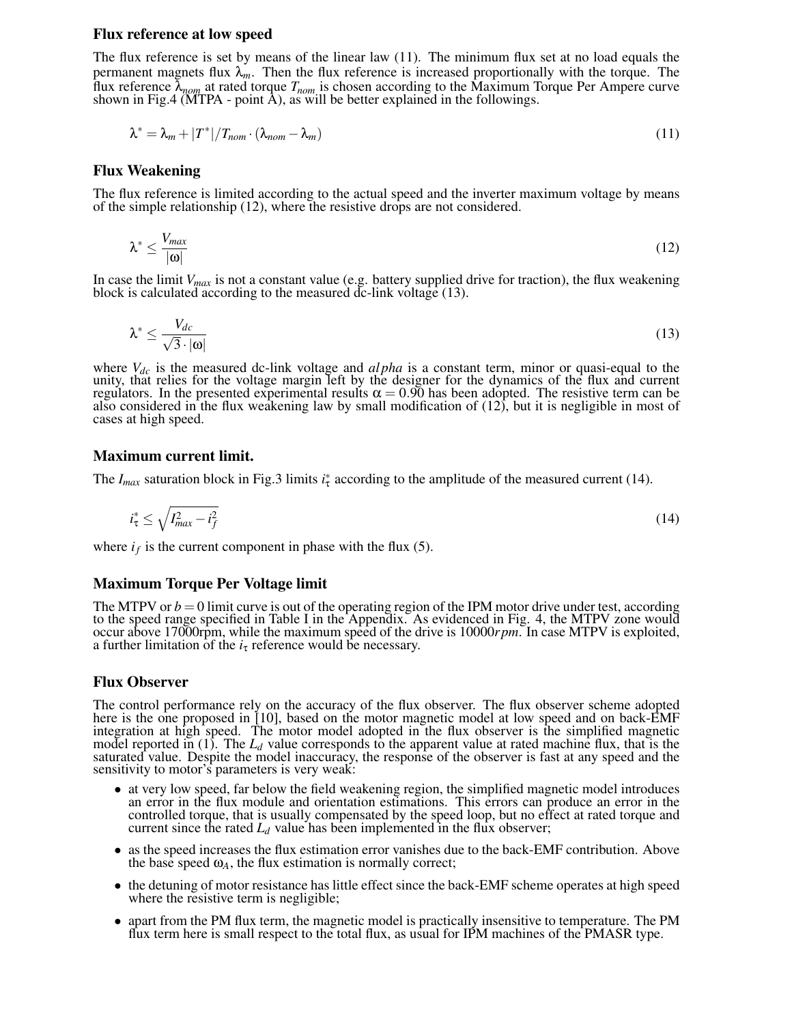#### Flux reference at low speed

The flux reference is set by means of the linear law (11). The minimum flux set at no load equals the permanent magnets flux  $\lambda_m$ . Then the flux reference is increased proportionally with the torque. The flux reference λ*nom* at rated torque *Tnom* is chosen according to the Maximum Torque Per Ampere curve shown in Fig.4 ( $\widehat{MTPA}$  - point  $\widehat{A}$ ), as will be better explained in the followings.

$$
\lambda^* = \lambda_m + |T^*| / T_{nom} \cdot (\lambda_{nom} - \lambda_m)
$$
\n(11)

#### Flux Weakening

The flux reference is limited according to the actual speed and the inverter maximum voltage by means of the simple relationship (12), where the resistive drops are not considered.

$$
\lambda^* \le \frac{V_{max}}{|\mathbf{\omega}|} \tag{12}
$$

In case the limit *Vmax* is not a constant value (e.g. battery supplied drive for traction), the flux weakening block is calculated according to the measured dc-link voltage (13).

$$
\lambda^* \le \frac{V_{dc}}{\sqrt{3} \cdot |\omega|} \tag{13}
$$

where *Vdc* is the measured dc-link voltage and *al pha* is a constant term, minor or quasi-equal to the unity, that relies for the voltage margin left by the designer for the dynamics of the flux and current regulators. In the presented experimental results  $\alpha = 0.90$  has been adopted. The resistive term can be also considered in the flux weakening law by small modification of  $(12)$ , but it is negligible in most of cases at high speed.

#### Maximum current limit.

The  $I_{max}$  saturation block in Fig.3 limits  $i_{\tau}^*$  according to the amplitude of the measured current (14).

$$
i_{\tau}^* \le \sqrt{I_{max}^2 - i_f^2} \tag{14}
$$

where  $i_f$  is the current component in phase with the flux (5).

#### Maximum Torque Per Voltage limit

The MTPV or  $b = 0$  limit curve is out of the operating region of the IPM motor drive under test, according to the speed range specified in Table I in the Appendix. As evidenced in Fig. 4, the MTPV zone would occur above 17000rpm, while the maximum speed of the drive is 10000*rpm*. In case MTPV is exploited, a further limitation of the  $i<sub>\tau</sub>$  reference would be necessary.

#### Flux Observer

The control performance rely on the accuracy of the flux observer. The flux observer scheme adopted here is the one proposed in [10], based on the motor magnetic model at low speed and on back-EMF integration at high speed. The motor model adopted in the flux observer is the simplified magnetic model reported in (1). The *L<sup>d</sup>* value corresponds to the apparent value at rated machine flux, that is the saturated value. Despite the model inaccuracy, the response of the observer is fast at any speed and the sensitivity to motor's parameters is very weak:

- at very low speed, far below the field weakening region, the simplified magnetic model introduces an error in the flux module and orientation estimations. This errors can produce an error in the controlled torque, that is usually compensated by the speed loop, but no effect at rated torque and current since the rated  $L_d$  value has been implemented in the flux observer;
- as the speed increases the flux estimation error vanishes due to the back-EMF contribution. Above the base speed  $\omega_A$ , the flux estimation is normally correct;
- the detuning of motor resistance has little effect since the back-EMF scheme operates at high speed where the resistive term is negligible;
- apart from the PM flux term, the magnetic model is practically insensitive to temperature. The PM flux term here is small respect to the total flux, as usual for IPM machines of the PMASR type.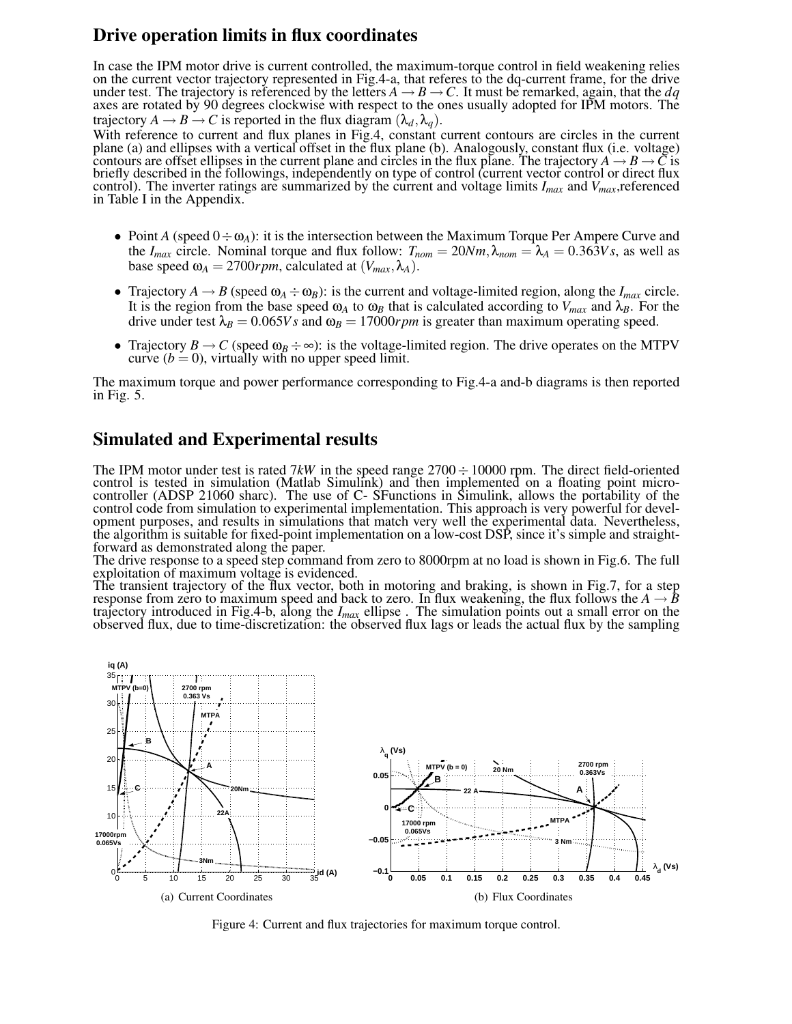### Drive operation limits in flux coordinates

In case the IPM motor drive is current controlled, the maximum-torque control in field weakening relies on the current vector trajectory represented in Fig.4-a, that referes to the dq-current frame, for the drive under test. The trajectory is referenced by the letters  $A \rightarrow B \rightarrow C$ . It must be remarked, again, that the *dq* axes are rotated by 90 degrees clockwise with respect to the ones usually adopted for IPM motors. The trajectory  $A \rightarrow B \rightarrow C$  is reported in the flux diagram  $(\lambda_d, \lambda_q)$ .

With reference to current and flux planes in Fig.4, constant current contours are circles in the current plane (a) and ellipses with a vertical offset in the flux plane (b). Analogously, constant flux (i.e. voltage) contours are offset ellipses in the current plane and circles in the flux plane. The trajectory  $A \to B \to \tilde{C}$  is briefly described in the followings, independently on type of control (current vector control or direct flux control). The inverter ratings are summarized by the current and voltage limits  $I_{max}$  and  $V_{max}$ ,referenced in Table I in the Appendix.

- Point *A* (speed  $0 \div \omega_A$ ): it is the intersection between the Maximum Torque Per Ampere Curve and the *I<sub>max</sub>* circle. Nominal torque and flux follow:  $T_{nom} = 20Nm$ ,  $\lambda_{nom} = \lambda_A = 0.363Vs$ , as well as base speed  $\omega_A = 2700$ *rpm*, calculated at  $(V_{max}, \lambda_A)$ .
- Trajectory  $A \to B$  (speed  $\omega_A \div \omega_B$ ): is the current and voltage-limited region, along the  $I_{max}$  circle. It is the region from the base speed  $\omega_A$  to  $\omega_B$  that is calculated according to  $V_{max}$  and  $\lambda_B$ . For the drive under test  $\lambda_B = 0.065V_s$  and  $\omega_B = 17000$  *rpm* is greater than maximum operating speed.
- Trajectory  $B \to C$  (speed  $\omega_B \div \infty$ ): is the voltage-limited region. The drive operates on the MTPV curve  $(b = 0)$ , virtually with no upper speed limit.

The maximum torque and power performance corresponding to Fig.4-a and-b diagrams is then reported in Fig. 5.

### Simulated and Experimental results

The IPM motor under test is rated 7*kW* in the speed range  $2700 \div 10000$  rpm. The direct field-oriented control is tested in simulation (Matlab Simulink) and then implemented on a floating point microcontroller (ADSP 21060 sharc). The use of C- SFunctions in Simulink, allows the portability of the control code from simulation to experimental implementation. This approach is very powerful for development purposes, and results in simulations that match very well the experimental data. Nevertheless, the algorithm is suitable for fixed-point implementation on a low-cost DSP, since it's simple and straightforward as demonstrated along the paper.

The drive response to a speed step command from zero to 8000rpm at no load is shown in Fig.6. The full exploitation of maximum voltage is evidenced.

The transient trajectory of the flux vector, both in motoring and braking, is shown in Fig.7, for a step response from zero to maximum speed and back to zero. In flux weakening, the flux follows the  $A \rightarrow B$ trajectory introduced in Fig.4-b, along the *Imax* ellipse . The simulation points out a small error on the observed flux, due to time-discretization: the observed flux lags or leads the actual flux by the sampling



Figure 4: Current and flux trajectories for maximum torque control.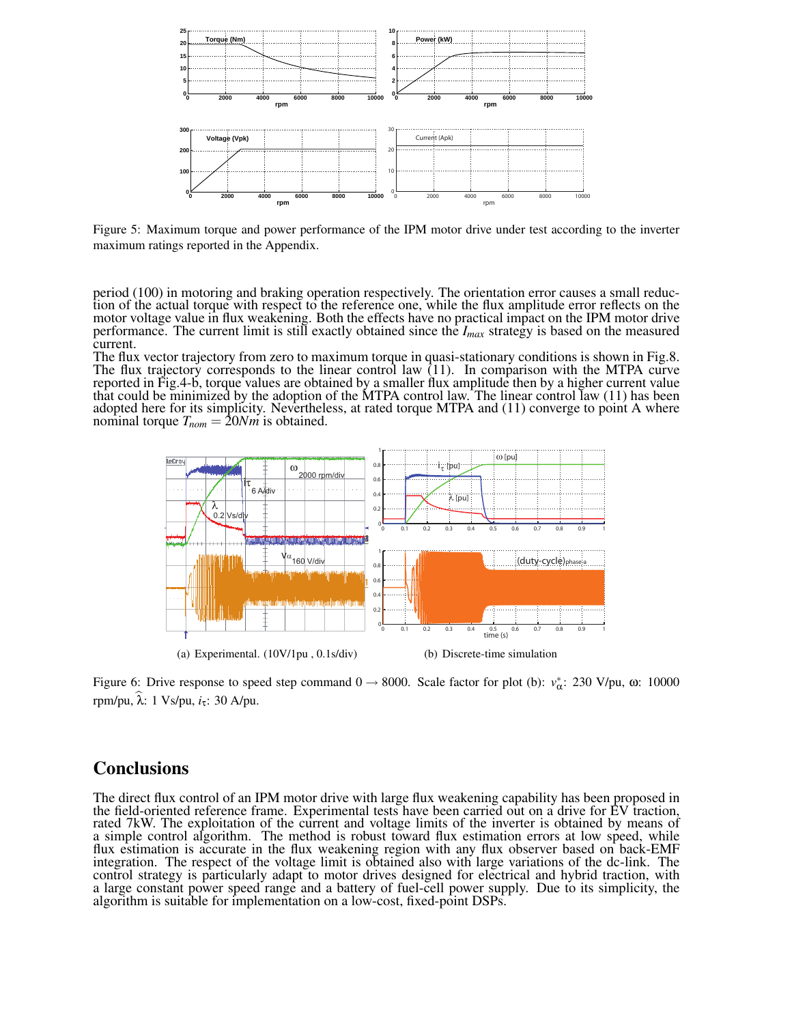

Figure 5: Maximum torque and power performance of the IPM motor drive under test according to the inverter maximum ratings reported in the Appendix.

period (100) in motoring and braking operation respectively. The orientation error causes a small reduction of the actual torque with respect to the reference one, while the flux amplitude error reflects on the motor voltage value in flux weakening. Both the effects have no practical impact on the IPM motor drive performance. The current limit is still exactly obtained since the *Imax* strategy is based on the measured current.

The flux vector trajectory from zero to maximum torque in quasi-stationary conditions is shown in Fig.8. The flux trajectory corresponds to the linear control law (11). In comparison with the MTPA curve reported in Fig.4-b, torque values are obtained by a smaller flux amplitude then by a higher current value that could be minimized by the adoption of the MTPA control law. The linear control law (11) has been adopted here for its simplicity. Nevertheless, at rated torque MTPA and (11) converge to point A where nominal torque  $T_{nom} = 20Nm$  is obtained.



Figure 6: Drive response to speed step command  $0 \rightarrow 8000$ . Scale factor for plot (b):  $v_{\alpha}^*$ : 230 V/pu,  $\omega$ : 10000 rpm/pu, bλ: 1 Vs/pu, *i*τ: 30 A/pu.

### **Conclusions**

The direct flux control of an IPM motor drive with large flux weakening capability has been proposed in the field-oriented reference frame. Experimental tests have been carried out on a drive for EV traction, rated 7kW. The exploitation of the current and voltage limits of the inverter is obtained by means of a simple control algorithm. The method is robust toward flux estimation errors at low speed, while flux estimation is accurate in the flux weakening region with any flux observer based on back-EMF integration. The respect of the voltage limit is obtained also with large variations of the dc-link. The control strategy is particularly adapt to motor drives designed for electrical and hybrid traction, with a large constant power speed range and a battery of fuel-cell power supply. Due to its simplicity, the algorithm is suitable for implementation on a low-cost, fixed-point DSPs.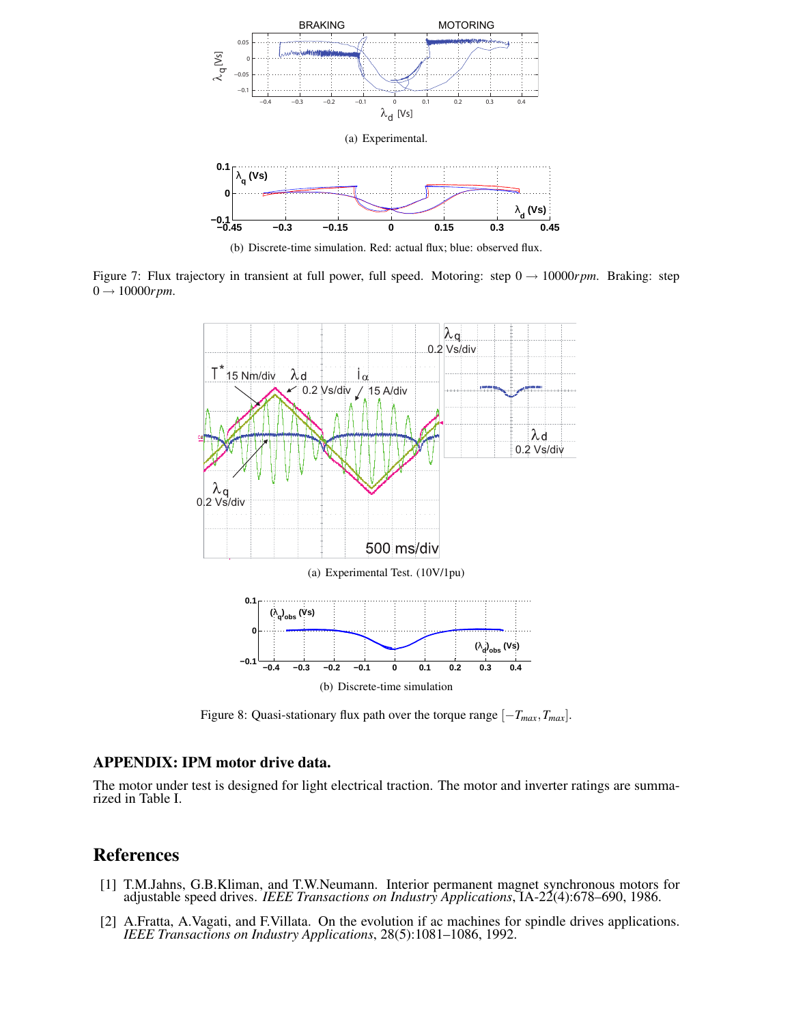

(b) Discrete-time simulation. Red: actual flux; blue: observed flux.

Figure 7: Flux trajectory in transient at full power, full speed. Motoring: step 0 → 10000*rpm*. Braking: step 0 → 10000*rpm*.



Figure 8: Quasi-stationary flux path over the torque range [−*Tmax*,*Tmax*].

#### APPENDIX: IPM motor drive data.

The motor under test is designed for light electrical traction. The motor and inverter ratings are summarized in Table I.

### References

- [1] T.M.Jahns, G.B.Kliman, and T.W.Neumann. Interior permanent magnet synchronous motors for adjustable speed drives. *IEEE Transactions on Industry Applications*, IA-22(4):678–690, 1986.
- [2] A.Fratta, A.Vagati, and F.Villata. On the evolution if ac machines for spindle drives applications. *IEEE Transactions on Industry Applications*, 28(5):1081–1086, 1992.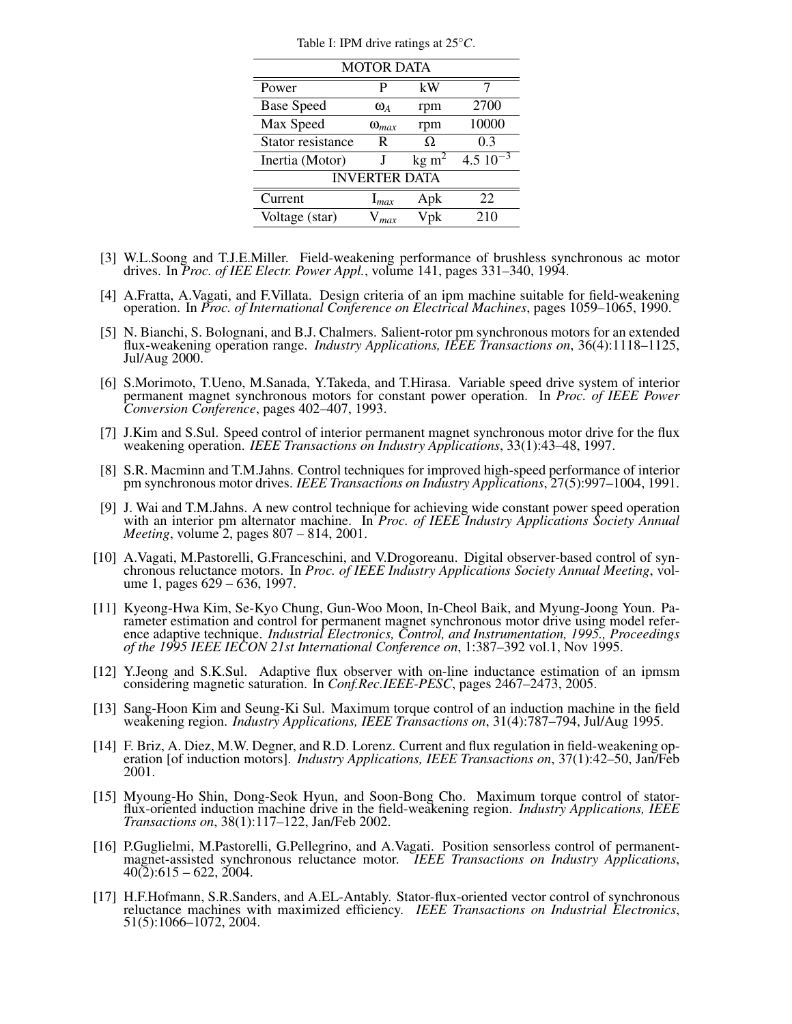|  |  | Table I: IPM drive ratings at $25^{\circ}C$ . |  |
|--|--|-----------------------------------------------|--|
|  |  |                                               |  |

| <b>MOTOR DATA</b>    |                         |             |        |  |  |  |  |
|----------------------|-------------------------|-------------|--------|--|--|--|--|
| Power                | P                       | kW          |        |  |  |  |  |
| <b>Base Speed</b>    | $\omega_A$              | rpm         | 2700   |  |  |  |  |
| Max Speed            | $\mathbf{\omega}_{max}$ | rpm         | 10000  |  |  |  |  |
| Stator resistance    | R                       | Ω           | 0.3    |  |  |  |  |
| Inertia (Motor)      | J                       | $kg \, m^2$ | 4.5 10 |  |  |  |  |
| <b>INVERTER DATA</b> |                         |             |        |  |  |  |  |
| Current              | $\mathbf{I}_{max}$      | Apk         | 22     |  |  |  |  |
| Voltage (star)       |                         |             | 210    |  |  |  |  |

- [3] W.L.Soong and T.J.E.Miller. Field-weakening performance of brushless synchronous ac motor drives. In *Proc. of IEE Electr. Power Appl.*, volume 141, pages 331–340, 1994.
- [4] A.Fratta, A.Vagati, and F.Villata. Design criteria of an ipm machine suitable for field-weakening operation. In *Proc. of International Conference on Electrical Machines*, pages 1059–1065, 1990.
- [5] N. Bianchi, S. Bolognani, and B.J. Chalmers. Salient-rotor pm synchronous motors for an extended flux-weakening operation range. *Industry Applications, IEEE Transactions on*, 36(4):1118–1125, Jul/Aug 2000.
- [6] S.Morimoto, T.Ueno, M.Sanada, Y.Takeda, and T.Hirasa. Variable speed drive system of interior permanent magnet synchronous motors for constant power operation. In *Proc. of IEEE Power Conversion Conference*, pages 402–407, 1993.
- [7] J.Kim and S.Sul. Speed control of interior permanent magnet synchronous motor drive for the flux weakening operation. *IEEE Transactions on Industry Applications*, 33(1):43–48, 1997.
- [8] S.R. Macminn and T.M.Jahns. Control techniques for improved high-speed performance of interior pm synchronous motor drives. *IEEE Transactions on Industry Applications*, 27(5):997–1004, 1991.
- [9] J. Wai and T.M.Jahns. A new control technique for achieving wide constant power speed operation with an interior pm alternator machine. In *Proc. of IEEE Industry Applications Society Annual Meeting*, volume 2, pages 807 – 814, 2001.
- [10] A.Vagati, M.Pastorelli, G.Franceschini, and V.Drogoreanu. Digital observer-based control of synchronous reluctance motors. In *Proc. of IEEE Industry Applications Society Annual Meeting*, volume 1, pages 629 – 636, 1997.
- [11] Kyeong-Hwa Kim, Se-Kyo Chung, Gun-Woo Moon, In-Cheol Baik, and Myung-Joong Youn. Parameter estimation and control for permanent magnet synchronous motor drive using model reference adaptive technique. *Industrial Electronics, Control, and Instrumentation, 1995., Proceedings of the 1995 IEEE IECON 21st International Conference on*, 1:387–392 vol.1, Nov 1995.
- [12] Y.Jeong and S.K.Sul. Adaptive flux observer with on-line inductance estimation of an ipmsm considering magnetic saturation. In *Conf.Rec.IEEE-PESC*, pages 2467–2473, 2005.
- [13] Sang-Hoon Kim and Seung-Ki Sul. Maximum torque control of an induction machine in the field weakening region. *Industry Applications, IEEE Transactions on*, 31(4):787–794, Jul/Aug 1995.
- [14] F. Briz, A. Diez, M.W. Degner, and R.D. Lorenz. Current and flux regulation in field-weakening operation [of induction motors]. *Industry Applications, IEEE Transactions on*, 37(1):42–50, Jan/Feb 2001.
- [15] Myoung-Ho Shin, Dong-Seok Hyun, and Soon-Bong Cho. Maximum torque control of statorflux-oriented induction machine drive in the field-weakening region. *Industry Applications, IEEE Transactions on*, 38(1):117–122, Jan/Feb 2002.
- [16] P.Guglielmi, M.Pastorelli, G.Pellegrino, and A.Vagati. Position sensorless control of permanentmagnet-assisted synchronous reluctance motor. *IEEE Transactions on Industry Applications*, 40(2):615 – 622, 2004.
- [17] H.F.Hofmann, S.R.Sanders, and A.EL-Antably. Stator-flux-oriented vector control of synchronous reluctance machines with maximized efficiency. *IEEE Transactions on Industrial Electronics*, 51(5):1066–1072, 2004.